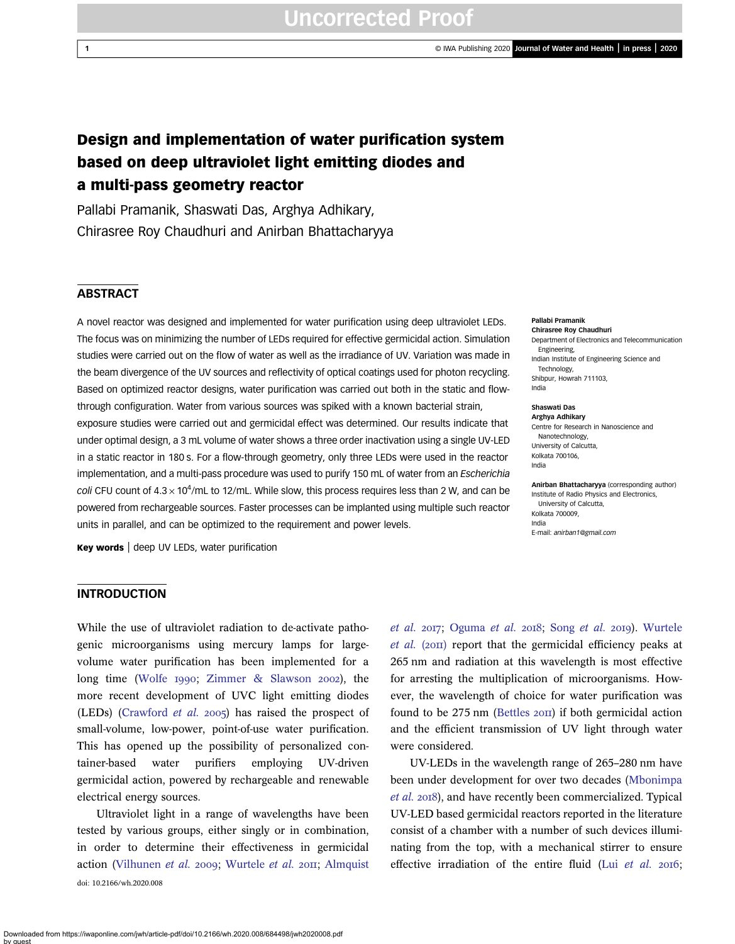## Design and implementation of water purification system based on deep ultraviolet light emitting diodes and a multi-pass geometry reactor

Pallabi Pramanik, Shaswati Das, Arghya Adhikary, Chirasree Roy Chaudhuri and Anirban Bhattacharyya

### **ABSTRACT**

A novel reactor was designed and implemented for water purification using deep ultraviolet LEDs. The focus was on minimizing the number of LEDs required for effective germicidal action. Simulation studies were carried out on the flow of water as well as the irradiance of UV. Variation was made in the beam divergence of the UV sources and reflectivity of optical coatings used for photon recycling. Based on optimized reactor designs, water purification was carried out both in the static and flowthrough configuration. Water from various sources was spiked with a known bacterial strain, exposure studies were carried out and germicidal effect was determined. Our results indicate that under optimal design, a 3 mL volume of water shows a three order inactivation using a single UV-LED in a static reactor in 180 s. For a flow-through geometry, only three LEDs were used in the reactor implementation, and a multi-pass procedure was used to purify 150 mL of water from an *Escherichia* coli CFU count of  $4.3 \times 10^4$ /mL to 12/mL. While slow, this process requires less than 2 W, and can be powered from rechargeable sources. Faster processes can be implanted using multiple such reactor units in parallel, and can be optimized to the requirement and power levels.

Key words | deep UV LEDs, water purification

### **INTRODUCTION**

While the use of ultraviolet radiation to de-activate pathogenic microorganisms using mercury lamps for largevolume water purification has been implemented for a long time (Wolfe 1990; Zimmer  $\&$  Slawson 2002), the more recent development of UVC light emitting diodes (LEDs) (Crawford *et al.* 2005) has raised the prospect of small-volume, low-power, point-of-use water purification. This has opened up the possibility of personalized container-based water purifiers employing UV-driven germicidal action, powered by rechargeable and renewable electrical energy sources.

Ultraviolet light in a range of wavelengths have been tested by various groups, either singly or in combination, in order to determine their effectiveness in germicidal action (Vilhunen *et al.* 2009; Wurtele *et al.* 2011; Almquist doi: 10.2166/wh.2020.008

*et al.* 2017; Oguma *et al.* 2018; Song *et al.* 2019). Wurtele *et al.* (2011) report that the germicidal efficiency peaks at 265 nm and radiation at this wavelength is most effective for arresting the multiplication of microorganisms. However, the wavelength of choice for water purification was found to be  $275 \text{ nm}$  (Bettles  $20 \text{II}$ ) if both germicidal action and the efficient transmission of UV light through water were considered.

UV-LEDs in the wavelength range of 265–280 nm have been under development for over two decades (Mbonimpa et al. 2018), and have recently been commercialized. Typical UV-LED based germicidal reactors reported in the literature consist of a chamber with a number of such devices illuminating from the top, with a mechanical stirrer to ensure effective irradiation of the entire fluid (Lui et al. 2016;

Pallabi Pramanik

Chirasree Roy Chaudhuri Department of Electronics and Telecommunication Engineering, Indian Institute of Engineering Science and Technology, Shibpur, Howrah 711103, India

#### Shaswati Das

Arghya Adhikary Centre for Research in Nanoscience and Nanotechnology, University of Calcutta, Kolkata 700106, India

Anirban Bhattacharyya (corresponding author) Institute of Radio Physics and Electronics, University of Calcutta, Kolkata 700009, India E-mail: anirban1@gmail.com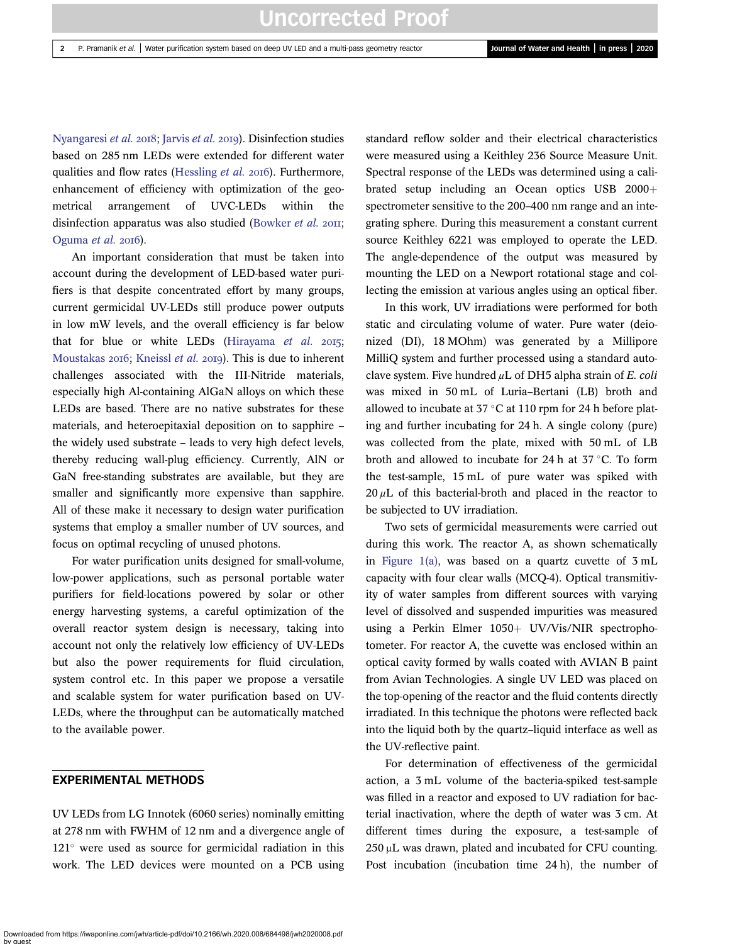Nyangaresi *et al.* 2018: Jarvis *et al.* 2019). Disinfection studies based on 285 nm LEDs were extended for different water qualities and flow rates (Hessling *et al.* 2016). Furthermore, enhancement of efficiency with optimization of the geometrical arrangement of UVC-LEDs within the disinfection apparatus was also studied (Bowker *et al.* 2011; Oguma *et al.* 2016).

An important consideration that must be taken into account during the development of LED-based water purifiers is that despite concentrated effort by many groups, current germicidal UV-LEDs still produce power outputs in low mW levels, and the overall efficiency is far below that for blue or white LEDs (Hirayama  $et$   $al.$   $2015$ ; Moustakas 2016; Kneissl *et al.* 2019). This is due to inherent challenges associated with the III-Nitride materials, especially high Al-containing AlGaN alloys on which these LEDs are based. There are no native substrates for these materials, and heteroepitaxial deposition on to sapphire – the widely used substrate – leads to very high defect levels, thereby reducing wall-plug efficiency. Currently, AlN or GaN free-standing substrates are available, but they are smaller and significantly more expensive than sapphire. All of these make it necessary to design water purification systems that employ a smaller number of UV sources, and focus on optimal recycling of unused photons.

For water purification units designed for small-volume, low-power applications, such as personal portable water purifiers for field-locations powered by solar or other energy harvesting systems, a careful optimization of the overall reactor system design is necessary, taking into account not only the relatively low efficiency of UV-LEDs but also the power requirements for fluid circulation, system control etc. In this paper we propose a versatile and scalable system for water purification based on UV-LEDs, where the throughput can be automatically matched to the available power.

### EXPERIMENTAL METHODS

UV LEDs from LG Innotek (6060 series) nominally emitting at 278 nm with FWHM of 12 nm and a divergence angle of  $121^\circ$  were used as source for germicidal radiation in this work. The LED devices were mounted on a PCB using standard reflow solder and their electrical characteristics were measured using a Keithley 236 Source Measure Unit. Spectral response of the LEDs was determined using a calibrated setup including an Ocean optics USB  $2000+$ spectrometer sensitive to the 200–400 nm range and an integrating sphere. During this measurement a constant current source Keithley 6221 was employed to operate the LED. The angle-dependence of the output was measured by mounting the LED on a Newport rotational stage and collecting the emission at various angles using an optical fiber.

In this work, UV irradiations were performed for both static and circulating volume of water. Pure water (deionized (DI), 18 MOhm) was generated by a Millipore MilliQ system and further processed using a standard autoclave system. Five hundred μL of DH5 alpha strain of *E. coli* was mixed in 50 mL of Luria–Bertani (LB) broth and allowed to incubate at  $37 \degree C$  at 110 rpm for 24 h before plating and further incubating for 24 h. A single colony (pure) was collected from the plate, mixed with 50 mL of LB broth and allowed to incubate for 24 h at  $37 \degree C$ . To form the test-sample, 15 mL of pure water was spiked with  $20 \mu L$  of this bacterial-broth and placed in the reactor to be subjected to UV irradiation.

Two sets of germicidal measurements were carried out during this work. The reactor A, as shown schematically in Figure 1(a), was based on a quartz cuvette of 3 mL capacity with four clear walls (MCQ-4). Optical transmitivity of water samples from different sources with varying level of dissolved and suspended impurities was measured using a Perkin Elmer  $1050+$  UV/Vis/NIR spectrophotometer. For reactor A, the cuvette was enclosed within an optical cavity formed by walls coated with AVIAN B paint from Avian Technologies. A single UV LED was placed on the top-opening of the reactor and the fluid contents directly irradiated. In this technique the photons were reflected back into the liquid both by the quartz–liquid interface as well as the UV-reflective paint.

For determination of effectiveness of the germicidal action, a 3 mL volume of the bacteria-spiked test-sample was filled in a reactor and exposed to UV radiation for bacterial inactivation, where the depth of water was 3 cm. At different times during the exposure, a test-sample of 250 μL was drawn, plated and incubated for CFU counting. Post incubation (incubation time 24 h), the number of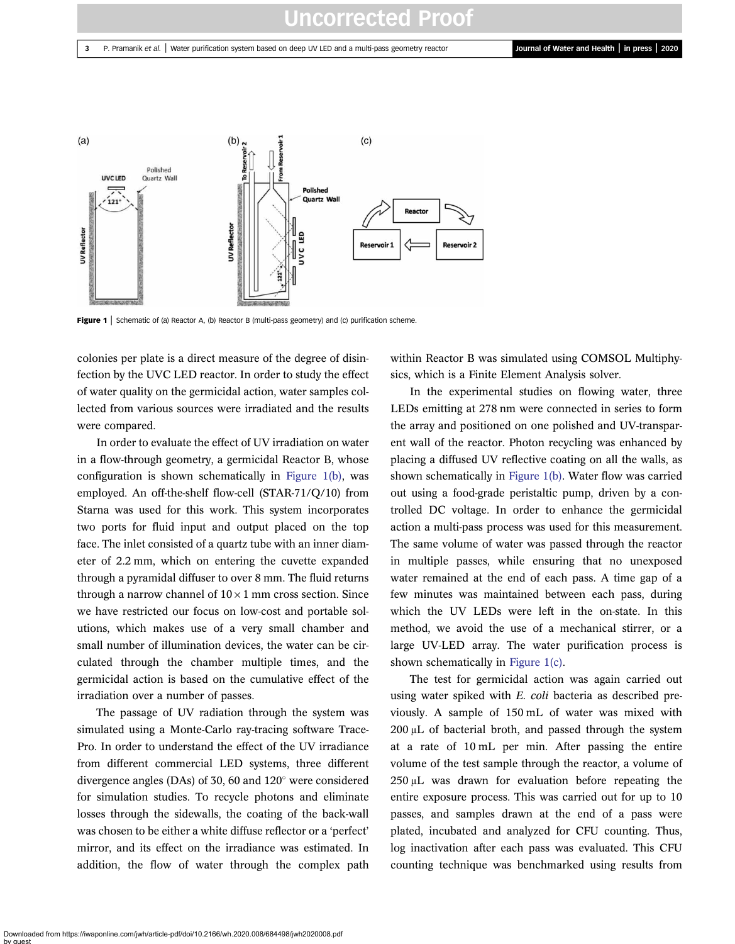#### 3 P. Pramanik et al. | Water purification system based on deep UV LED and a multi-pass geometry reactor Journal of Water and Health | in press | 2020



Figure 1 | Schematic of (a) Reactor A, (b) Reactor B (multi-pass geometry) and (c) purification scheme.

colonies per plate is a direct measure of the degree of disinfection by the UVC LED reactor. In order to study the effect of water quality on the germicidal action, water samples collected from various sources were irradiated and the results were compared.

In order to evaluate the effect of UV irradiation on water in a flow-through geometry, a germicidal Reactor B, whose configuration is shown schematically in Figure  $1(b)$ , was employed. An off-the-shelf flow-cell (STAR-71/Q/10) from Starna was used for this work. This system incorporates two ports for fluid input and output placed on the top face. The inlet consisted of a quartz tube with an inner diameter of 2.2 mm, which on entering the cuvette expanded through a pyramidal diffuser to over 8 mm. The fluid returns through a narrow channel of  $10 \times 1$  mm cross section. Since we have restricted our focus on low-cost and portable solutions, which makes use of a very small chamber and small number of illumination devices, the water can be circulated through the chamber multiple times, and the germicidal action is based on the cumulative effect of the irradiation over a number of passes.

The passage of UV radiation through the system was simulated using a Monte-Carlo ray-tracing software Trace-Pro. In order to understand the effect of the UV irradiance from different commercial LED systems, three different divergence angles (DAs) of 30, 60 and  $120^{\circ}$  were considered for simulation studies. To recycle photons and eliminate losses through the sidewalls, the coating of the back-wall was chosen to be either a white diffuse reflector or a 'perfect' mirror, and its effect on the irradiance was estimated. In addition, the flow of water through the complex path within Reactor B was simulated using COMSOL Multiphysics, which is a Finite Element Analysis solver.

In the experimental studies on flowing water, three LEDs emitting at 278 nm were connected in series to form the array and positioned on one polished and UV-transparent wall of the reactor. Photon recycling was enhanced by placing a diffused UV reflective coating on all the walls, as shown schematically in Figure 1(b). Water flow was carried out using a food-grade peristaltic pump, driven by a controlled DC voltage. In order to enhance the germicidal action a multi-pass process was used for this measurement. The same volume of water was passed through the reactor in multiple passes, while ensuring that no unexposed water remained at the end of each pass. A time gap of a few minutes was maintained between each pass, during which the UV LEDs were left in the on-state. In this method, we avoid the use of a mechanical stirrer, or a large UV-LED array. The water purification process is shown schematically in Figure 1(c).

The test for germicidal action was again carried out using water spiked with *E. coli* bacteria as described previously. A sample of 150 mL of water was mixed with  $200 \mu L$  of bacterial broth, and passed through the system at a rate of 10 mL per min. After passing the entire volume of the test sample through the reactor, a volume of 250 μL was drawn for evaluation before repeating the entire exposure process. This was carried out for up to 10 passes, and samples drawn at the end of a pass were plated, incubated and analyzed for CFU counting. Thus, log inactivation after each pass was evaluated. This CFU counting technique was benchmarked using results from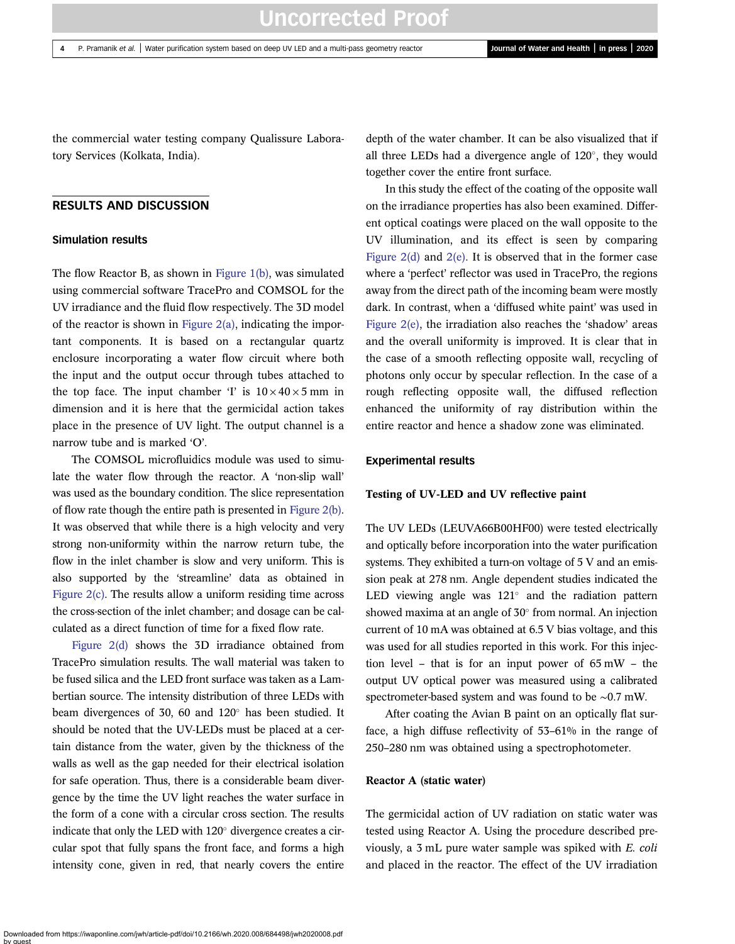the commercial water testing company Qualissure Laboratory Services (Kolkata, India).

### RESULTS AND DISCUSSION

#### Simulation results

The flow Reactor B, as shown in Figure 1(b), was simulated using commercial software TracePro and COMSOL for the UV irradiance and the fluid flow respectively. The 3D model of the reactor is shown in Figure  $2(a)$ , indicating the important components. It is based on a rectangular quartz enclosure incorporating a water flow circuit where both the input and the output occur through tubes attached to the top face. The input chamber 'I' is  $10 \times 40 \times 5$  mm in dimension and it is here that the germicidal action takes place in the presence of UV light. The output channel is a narrow tube and is marked 'O'.

The COMSOL microfluidics module was used to simulate the water flow through the reactor. A 'non-slip wall' was used as the boundary condition. The slice representation of flow rate though the entire path is presented in Figure 2(b). It was observed that while there is a high velocity and very strong non-uniformity within the narrow return tube, the flow in the inlet chamber is slow and very uniform. This is also supported by the 'streamline' data as obtained in Figure 2(c). The results allow a uniform residing time across the cross-section of the inlet chamber; and dosage can be calculated as a direct function of time for a fixed flow rate.

Figure 2(d) shows the 3D irradiance obtained from TracePro simulation results. The wall material was taken to be fused silica and the LED front surface was taken as a Lambertian source. The intensity distribution of three LEDs with beam divergences of 30, 60 and  $120^\circ$  has been studied. It should be noted that the UV-LEDs must be placed at a certain distance from the water, given by the thickness of the walls as well as the gap needed for their electrical isolation for safe operation. Thus, there is a considerable beam divergence by the time the UV light reaches the water surface in the form of a cone with a circular cross section. The results indicate that only the LED with  $120^\circ$  divergence creates a circular spot that fully spans the front face, and forms a high intensity cone, given in red, that nearly covers the entire depth of the water chamber. It can be also visualized that if all three LEDs had a divergence angle of 120 , they would together cover the entire front surface.

In this study the effect of the coating of the opposite wall on the irradiance properties has also been examined. Different optical coatings were placed on the wall opposite to the UV illumination, and its effect is seen by comparing Figure 2(d) and 2(e). It is observed that in the former case where a 'perfect' reflector was used in TracePro, the regions away from the direct path of the incoming beam were mostly dark. In contrast, when a 'diffused white paint' was used in Figure 2(e), the irradiation also reaches the 'shadow' areas and the overall uniformity is improved. It is clear that in the case of a smooth reflecting opposite wall, recycling of photons only occur by specular reflection. In the case of a rough reflecting opposite wall, the diffused reflection enhanced the uniformity of ray distribution within the entire reactor and hence a shadow zone was eliminated.

#### Experimental results

#### Testing of UV-LED and UV reflective paint

The UV LEDs (LEUVA66B00HF00) were tested electrically and optically before incorporation into the water purification systems. They exhibited a turn-on voltage of 5 V and an emission peak at 278 nm. Angle dependent studies indicated the LED viewing angle was  $121^\circ$  and the radiation pattern showed maxima at an angle of 30° from normal. An injection current of 10 mA was obtained at 6.5 V bias voltage, and this was used for all studies reported in this work. For this injection level – that is for an input power of 65 mW – the output UV optical power was measured using a calibrated spectrometer-based system and was found to be ∼0.7 mW.

After coating the Avian B paint on an optically flat surface, a high diffuse reflectivity of 53–61% in the range of 250–280 nm was obtained using a spectrophotometer.

#### Reactor A (static water)

The germicidal action of UV radiation on static water was tested using Reactor A. Using the procedure described previously, a 3 mL pure water sample was spiked with *E. coli* and placed in the reactor. The effect of the UV irradiation

Downloaded from https://iwaponline.com/jwh/article-pdf/doi/10.2166/wh.2020.008/684498/jwh2020008.pdf by guest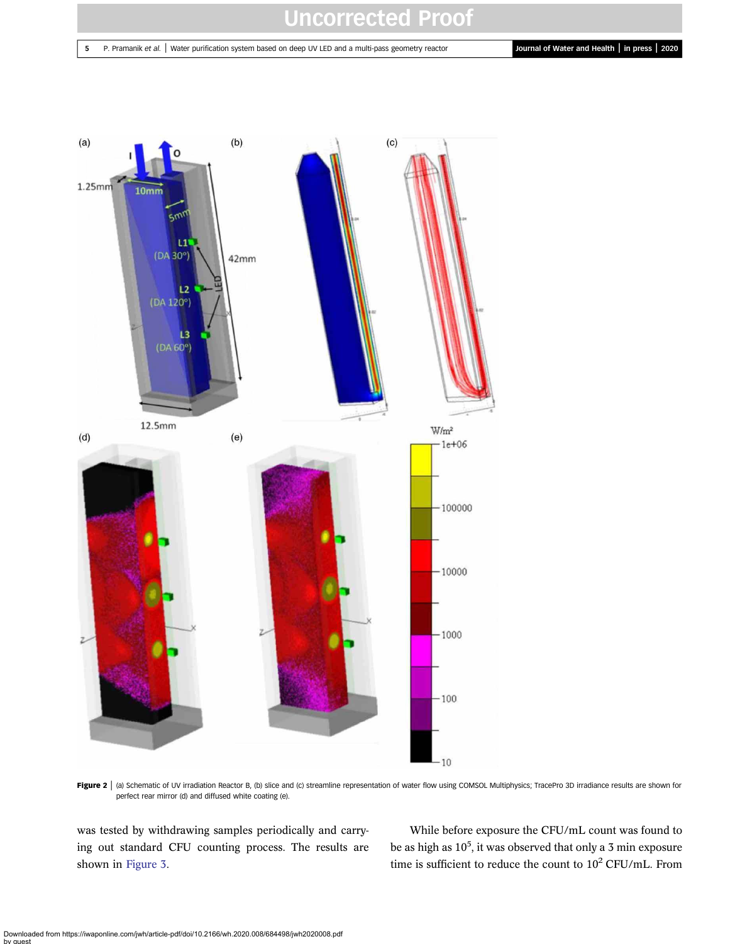#### 5 P. Pramanik et al. | Water purification system based on deep UV LED and a multi-pass geometry reactor **Journal of Water and Health | in press | 2020**



Figure 2 | (a) Schematic of UV irradiation Reactor B, (b) slice and (c) streamline representation of water flow using COMSOL Multiphysics; TracePro 3D irradiance results are shown for perfect rear mirror (d) and diffused white coating (e).

was tested by withdrawing samples periodically and carrying out standard CFU counting process. The results are shown in Figure 3.

While before exposure the CFU/mL count was found to be as high as  $10^5$ , it was observed that only a 3 min exposure time is sufficient to reduce the count to  $10^2$  CFU/mL. From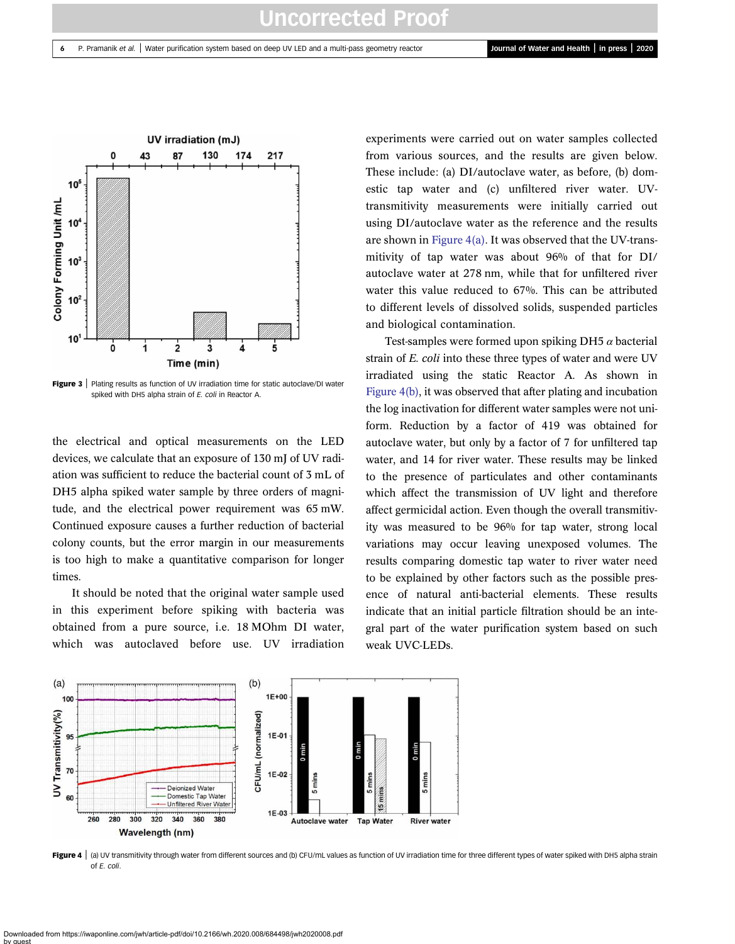

Figure 3 | Plating results as function of UV irradiation time for static autoclave/DI water spiked with DH5 alpha strain of E. coli in Reactor A.

the electrical and optical measurements on the LED devices, we calculate that an exposure of 130 mJ of UV radiation was sufficient to reduce the bacterial count of 3 mL of DH5 alpha spiked water sample by three orders of magnitude, and the electrical power requirement was 65 mW. Continued exposure causes a further reduction of bacterial colony counts, but the error margin in our measurements is too high to make a quantitative comparison for longer times.

It should be noted that the original water sample used in this experiment before spiking with bacteria was obtained from a pure source, i.e. 18 MOhm DI water, which was autoclaved before use. UV irradiation experiments were carried out on water samples collected from various sources, and the results are given below. These include: (a) DI/autoclave water, as before, (b) domestic tap water and (c) unfiltered river water. UVtransmitivity measurements were initially carried out using DI/autoclave water as the reference and the results are shown in Figure 4(a). It was observed that the UV-transmitivity of tap water was about 96% of that for DI/ autoclave water at 278 nm, while that for unfiltered river water this value reduced to 67%. This can be attributed to different levels of dissolved solids, suspended particles and biological contamination.

Test-samples were formed upon spiking DH5  $\alpha$  bacterial strain of *E. coli* into these three types of water and were UV irradiated using the static Reactor A. As shown in Figure 4(b), it was observed that after plating and incubation the log inactivation for different water samples were not uniform. Reduction by a factor of 419 was obtained for autoclave water, but only by a factor of 7 for unfiltered tap water, and 14 for river water. These results may be linked to the presence of particulates and other contaminants which affect the transmission of UV light and therefore affect germicidal action. Even though the overall transmitivity was measured to be 96% for tap water, strong local variations may occur leaving unexposed volumes. The results comparing domestic tap water to river water need to be explained by other factors such as the possible presence of natural anti-bacterial elements. These results indicate that an initial particle filtration should be an integral part of the water purification system based on such weak UVC-LEDs.



Figure 4 | (a) UV transmitivity through water from different sources and (b) CFU/mL values as function of UV irradiation time for three different types of water spiked with DH5 alpha strain of E. coli.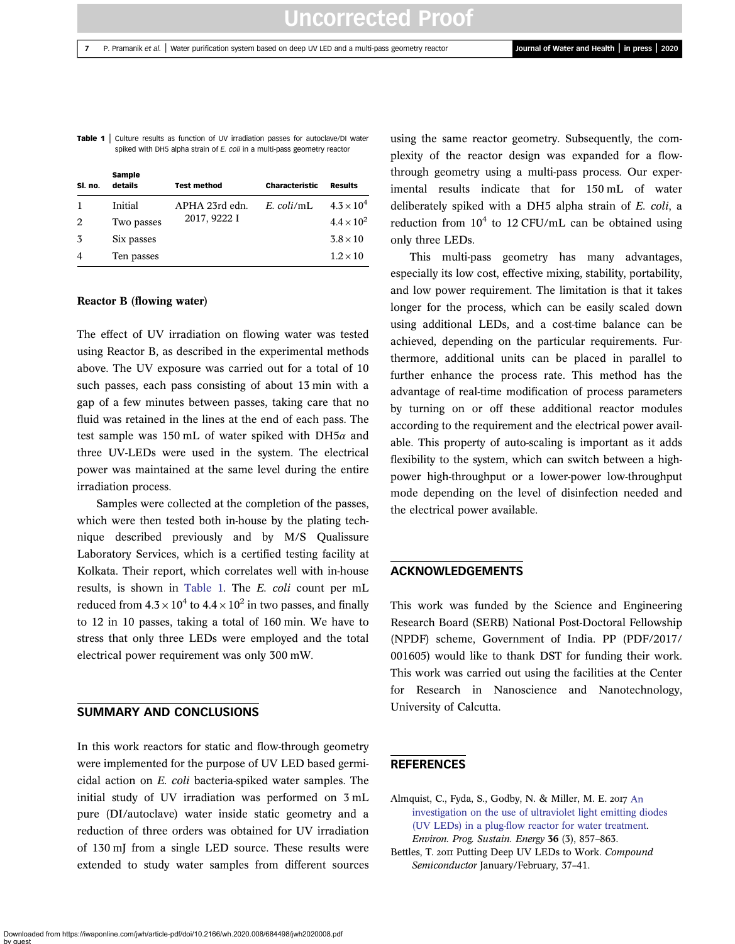Table 1 | Culture results as function of UV irradiation passes for autoclave/DI water spiked with DH5 alpha strain of  $E$  coli in a multi-pass geometry reactor

| SI. no.        | Sample<br>details | <b>Test method</b>             | <b>Characteristic</b> | <b>Results</b>      |
|----------------|-------------------|--------------------------------|-----------------------|---------------------|
|                | Initial           | APHA 23rd edn.<br>2017, 9222 I | $E.$ coli/mL          | $4.3 \times 10^{4}$ |
| 2              | Two passes        |                                |                       | $4.4 \times 10^{2}$ |
| 3              | Six passes        |                                |                       | $3.8\times10$       |
| $\overline{4}$ | Ten passes        |                                |                       | $1.2 \times 10$     |

#### Reactor B (flowing water)

The effect of UV irradiation on flowing water was tested using Reactor B, as described in the experimental methods above. The UV exposure was carried out for a total of 10 such passes, each pass consisting of about 13 min with a gap of a few minutes between passes, taking care that no fluid was retained in the lines at the end of each pass. The test sample was 150 mL of water spiked with DH5 $\alpha$  and three UV-LEDs were used in the system. The electrical power was maintained at the same level during the entire irradiation process.

Samples were collected at the completion of the passes, which were then tested both in-house by the plating technique described previously and by M/S Qualissure Laboratory Services, which is a certified testing facility at Kolkata. Their report, which correlates well with in-house results, is shown in Table 1. The *E. coli* count per mL reduced from 4.3  $\times$  10<sup>4</sup> to 4.4  $\times$  10<sup>2</sup> in two passes, and finally to 12 in 10 passes, taking a total of 160 min. We have to stress that only three LEDs were employed and the total electrical power requirement was only 300 mW.

#### SUMMARY AND CONCLUSIONS

In this work reactors for static and flow-through geometry were implemented for the purpose of UV LED based germicidal action on *E. coli* bacteria-spiked water samples. The initial study of UV irradiation was performed on 3 mL pure (DI/autoclave) water inside static geometry and a reduction of three orders was obtained for UV irradiation of 130 mJ from a single LED source. These results were extended to study water samples from different sources

using the same reactor geometry. Subsequently, the complexity of the reactor design was expanded for a flowthrough geometry using a multi-pass process. Our experimental results indicate that for 150 mL of water deliberately spiked with a DH5 alpha strain of *E. coli*, a reduction from  $10^4$  to 12 CFU/mL can be obtained using only three LEDs.

This multi-pass geometry has many advantages, especially its low cost, effective mixing, stability, portability, and low power requirement. The limitation is that it takes longer for the process, which can be easily scaled down using additional LEDs, and a cost-time balance can be achieved, depending on the particular requirements. Furthermore, additional units can be placed in parallel to further enhance the process rate. This method has the advantage of real-time modification of process parameters by turning on or off these additional reactor modules according to the requirement and the electrical power available. This property of auto-scaling is important as it adds flexibility to the system, which can switch between a highpower high-throughput or a lower-power low-throughput mode depending on the level of disinfection needed and the electrical power available.

### ACKNOWLEDGEMENTS

This work was funded by the Science and Engineering Research Board (SERB) National Post-Doctoral Fellowship (NPDF) scheme, Government of India. PP (PDF/2017/ 001605) would like to thank DST for funding their work. This work was carried out using the facilities at the Center for Research in Nanoscience and Nanotechnology, University of Calcutta.

#### **REFERENCES**

- Almquist, C., Fyda, S., Godby, N. & Miller, M. E. 2017 An investigation on the use of ultraviolet light emitting diodes (UV LEDs) in a plug-flow reactor for water treatment. *Environ. Prog. Sustain. Energy* 36 (3), 857–863.
- Bettles, T. 2011 Putting Deep UV LEDs to Work. *Compound Semiconductor* January/February, 37–41.